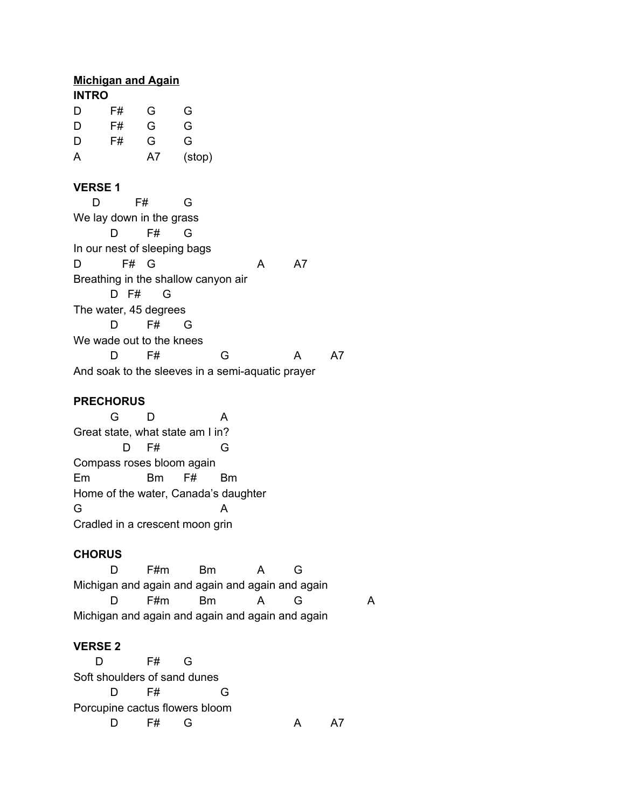**Michigan and Again**

| <b>INTRO</b> |    |    |        |  |  |  |  |  |
|--------------|----|----|--------|--|--|--|--|--|
| D            | F# | G  | G      |  |  |  |  |  |
| D            | F# | G  | G      |  |  |  |  |  |
| D            | F# | G  | G      |  |  |  |  |  |
| A            |    | A7 | (stop) |  |  |  |  |  |

# **VERSE 1**

|                                                  | F#    | G      |   |   |      |    |  |  |
|--------------------------------------------------|-------|--------|---|---|------|----|--|--|
| We lay down in the grass                         |       |        |   |   |      |    |  |  |
|                                                  | DF#   | G      |   |   |      |    |  |  |
| In our nest of sleeping bags                     |       |        |   |   |      |    |  |  |
| D                                                | F# G  |        |   | A | - A7 |    |  |  |
| Breathing in the shallow canyon air              |       |        |   |   |      |    |  |  |
|                                                  | D F#G |        |   |   |      |    |  |  |
| The water, 45 degrees                            |       |        |   |   |      |    |  |  |
|                                                  |       | $F#$ G |   |   |      |    |  |  |
| We wade out to the knees                         |       |        |   |   |      |    |  |  |
| I)                                               | F#    |        | G |   | A    | A7 |  |  |
| And soak to the sleeves in a semi-aquatic prayer |       |        |   |   |      |    |  |  |

#### **PRECHORUS**

G D A Great state, what state am I in? D F# G Compass roses bloom again Em Bm F# Bm Home of the water, Canada's daughter G A Cradled in a crescent moon grin

#### **CHORUS**

D F#m Bm A G Michigan and again and again and again and again D F#m Bm A G A Michigan and again and again and again and again

## **VERSE 2**

D F# G Soft shoulders of sand dunes  $D$  F# G Porcupine cactus flowers bloom D F# G A A7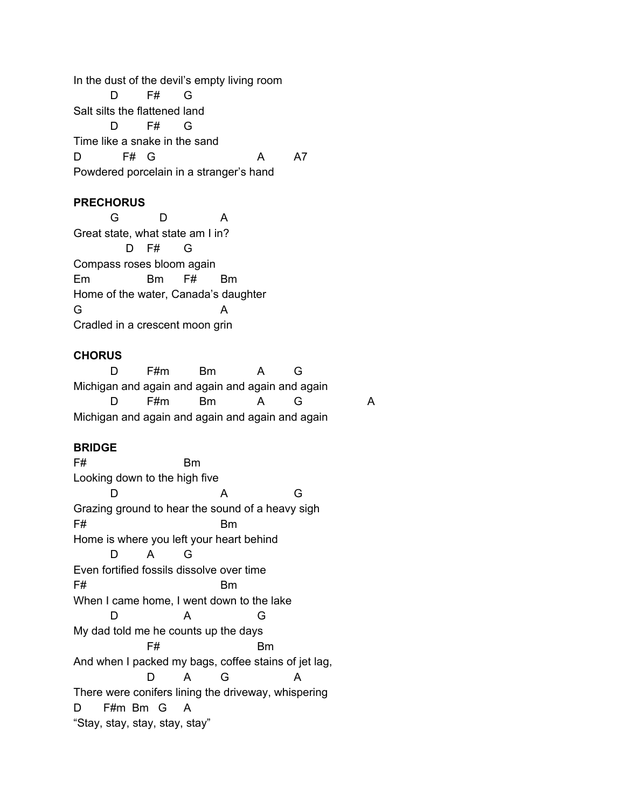In the dust of the devil's empty living room D F# G Salt silts the flattened land  $D$  F# G Time like a snake in the sand D F# G A A7 Powdered porcelain in a stranger's hand

### **PRECHORUS**

G D A Great state, what state am I in? D F# G Compass roses bloom again Em Bm F# Bm Home of the water, Canada's daughter G A Cradled in a crescent moon grin

#### **CHORUS**

D F#m Bm A G Michigan and again and again and again and again D F#m Bm A G A Michigan and again and again and again and again

## **BRIDGE**

F# Bm Looking down to the high five D A G Grazing ground to hear the sound of a heavy sigh F# Bm Home is where you left your heart behind D A G Even fortified fossils dissolve over time F# Bm When I came home, I went down to the lake D A G My dad told me he counts up the days F# Bm And when I packed my bags, coffee stains of jet lag, D A G A There were conifers lining the driveway, whispering D F#m Bm G A "Stay, stay, stay, stay, stay"